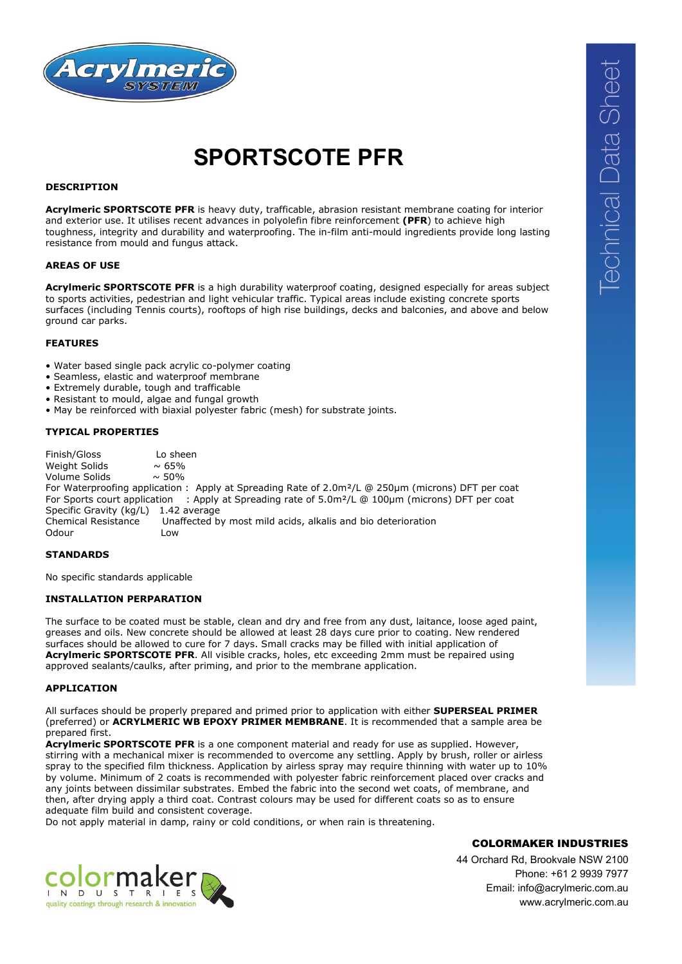

# **SPORTSCOTE PFR**

## **DESCRIPTION**

**Acrylmeric SPORTSCOTE PFR** is heavy duty, trafficable, abrasion resistant membrane coating for interior and exterior use. It utilises recent advances in polyolefin fibre reinforcement **(PFR**) to achieve high toughness, integrity and durability and waterproofing. The in-film anti-mould ingredients provide long lasting resistance from mould and fungus attack.

#### **AREAS OF USE**

**Acrylmeric SPORTSCOTE PFR** is a high durability waterproof coating, designed especially for areas subject to sports activities, pedestrian and light vehicular traffic. Typical areas include existing concrete sports surfaces (including Tennis courts), rooftops of high rise buildings, decks and balconies, and above and below ground car parks.

#### **FEATURES**

- Water based single pack acrylic co-polymer coating
- Seamless, elastic and waterproof membrane
- Extremely durable, tough and trafficable
- Resistant to mould, algae and fungal growth
- May be reinforced with biaxial polyester fabric (mesh) for substrate joints.

## **TYPICAL PROPERTIES**

Finish/Gloss Lo sheen Weight Solids  $\sim$  65%<br>Volume Solids  $\sim$  50% Volume Solids For Waterproofing application : Apply at Spreading Rate of 2.0m²/L @ 250μm (microns) DFT per coat For Sports court application : Apply at Spreading rate of 5.0m²/L @ 100μm (microns) DFT per coat Specific Gravity (kg/L) 1.42 average<br>Chemical Resistance Unaffected b Unaffected by most mild acids, alkalis and bio deterioration Odour Low

## **STANDARDS**

No specific standards applicable

## **INSTALLATION PERPARATION**

The surface to be coated must be stable, clean and dry and free from any dust, laitance, loose aged paint, greases and oils. New concrete should be allowed at least 28 days cure prior to coating. New rendered surfaces should be allowed to cure for 7 days. Small cracks may be filled with initial application of **Acrylmeric SPORTSCOTE PFR**. All visible cracks, holes, etc exceeding 2mm must be repaired using approved sealants/caulks, after priming, and prior to the membrane application.

#### **APPLICATION**

All surfaces should be properly prepared and primed prior to application with either **SUPERSEAL PRIMER**  (preferred) or **ACRYLMERIC WB EPOXY PRIMER MEMBRANE**. It is recommended that a sample area be prepared first.

**Acrylmeric SPORTSCOTE PFR** is a one component material and ready for use as supplied. However, stirring with a mechanical mixer is recommended to overcome any settling. Apply by brush, roller or airless spray to the specified film thickness. Application by airless spray may require thinning with water up to 10% by volume. Minimum of 2 coats is recommended with polyester fabric reinforcement placed over cracks and any joints between dissimilar substrates. Embed the fabric into the second wet coats, of membrane, and then, after drying apply a third coat. Contrast colours may be used for different coats so as to ensure adequate film build and consistent coverage.

Do not apply material in damp, rainy or cold conditions, or when rain is threatening.